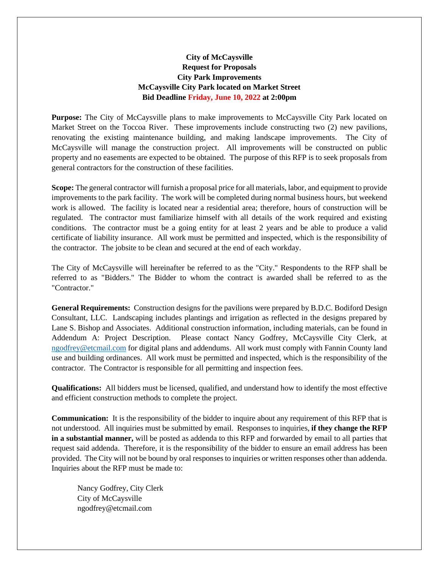## **City of McCaysville Request for Proposals City Park Improvements McCaysville City Park located on Market Street Bid Deadline Friday, June 10, 2022 at 2:00pm**

**Purpose:** The City of McCaysville plans to make improvements to McCaysville City Park located on Market Street on the Toccoa River. These improvements include constructing two (2) new pavilions, renovating the existing maintenance building, and making landscape improvements. The City of McCaysville will manage the construction project. All improvements will be constructed on public property and no easements are expected to be obtained. The purpose of this RFP is to seek proposals from general contractors for the construction of these facilities.

**Scope:** The general contractor will furnish a proposal price for all materials, labor, and equipment to provide improvements to the park facility. The work will be completed during normal business hours, but weekend work is allowed. The facility is located near a residential area; therefore, hours of construction will be regulated. The contractor must familiarize himself with all details of the work required and existing conditions. The contractor must be a going entity for at least 2 years and be able to produce a valid certificate of liability insurance. All work must be permitted and inspected, which is the responsibility of the contractor. The jobsite to be clean and secured at the end of each workday.

The City of McCaysville will hereinafter be referred to as the "City." Respondents to the RFP shall be referred to as "Bidders." The Bidder to whom the contract is awarded shall be referred to as the "Contractor."

**General Requirements:** Construction designs for the pavilions were prepared by B.D.C. Bodiford Design Consultant, LLC. Landscaping includes plantings and irrigation as reflected in the designs prepared by Lane S. Bishop and Associates. Additional construction information, including materials, can be found in Addendum A: Project Description. Please contact Nancy Godfrey, McCaysville City Clerk, at [ngodfrey@etcmail.com](mailto:ngodfrey@etcmail.com) for digital plans and addendums. All work must comply with Fannin County land use and building ordinances. All work must be permitted and inspected, which is the responsibility of the contractor. The Contractor is responsible for all permitting and inspection fees.

**Qualifications:** All bidders must be licensed, qualified, and understand how to identify the most effective and efficient construction methods to complete the project.

**Communication:** It is the responsibility of the bidder to inquire about any requirement of this RFP that is not understood. All inquiries must be submitted by email. Responses to inquiries, **if they change the RFP in a substantial manner,** will be posted as addenda to this RFP and forwarded by email to all parties that request said addenda. Therefore, it is the responsibility of the bidder to ensure an email address has been provided. The City will not be bound by oral responses to inquiries or written responses other than addenda. Inquiries about the RFP must be made to:

Nancy Godfrey, City Clerk City of McCaysville ngodfrey@etcmail.com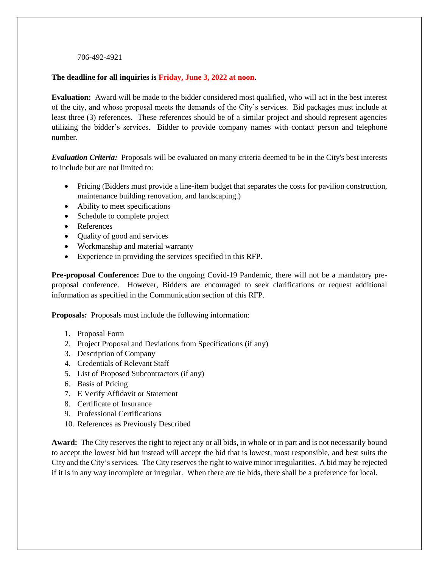## 706-492-4921

## **The deadline for all inquiries is Friday, June 3, 2022 at noon.**

**Evaluation:** Award will be made to the bidder considered most qualified, who will act in the best interest of the city, and whose proposal meets the demands of the City's services. Bid packages must include at least three (3) references. These references should be of a similar project and should represent agencies utilizing the bidder's services. Bidder to provide company names with contact person and telephone number.

*Evaluation Criteria:* Proposals will be evaluated on many criteria deemed to be in the City's best interests to include but are not limited to:

- Pricing (Bidders must provide a line-item budget that separates the costs for pavilion construction, maintenance building renovation, and landscaping.)
- Ability to meet specifications
- Schedule to complete project
- References
- Quality of good and services
- Workmanship and material warranty
- Experience in providing the services specified in this RFP.

**Pre-proposal Conference:** Due to the ongoing Covid-19 Pandemic, there will not be a mandatory preproposal conference. However, Bidders are encouraged to seek clarifications or request additional information as specified in the Communication section of this RFP.

**Proposals:** Proposals must include the following information:

- 1. Proposal Form
- 2. Project Proposal and Deviations from Specifications (if any)
- 3. Description of Company
- 4. Credentials of Relevant Staff
- 5. List of Proposed Subcontractors (if any)
- 6. Basis of Pricing
- 7. E Verify Affidavit or Statement
- 8. Certificate of Insurance
- 9. Professional Certifications
- 10. References as Previously Described

**Award:** The City reserves the right to reject any or all bids, in whole or in part and is not necessarily bound to accept the lowest bid but instead will accept the bid that is lowest, most responsible, and best suits the City and the City's services. The City reserves the right to waive minor irregularities. A bid may be rejected if it is in any way incomplete or irregular. When there are tie bids, there shall be a preference for local.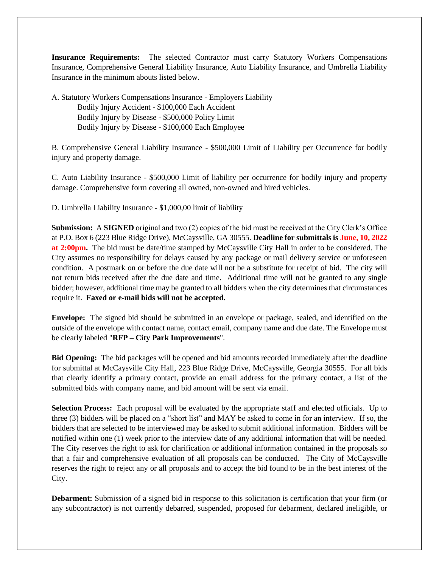**Insurance Requirements:** The selected Contractor must carry Statutory Workers Compensations Insurance, Comprehensive General Liability Insurance, Auto Liability Insurance, and Umbrella Liability Insurance in the minimum abouts listed below.

A. Statutory Workers Compensations Insurance - Employers Liability Bodily Injury Accident - \$100,000 Each Accident Bodily Injury by Disease - \$500,000 Policy Limit Bodily Injury by Disease - \$100,000 Each Employee

B. Comprehensive General Liability Insurance - \$500,000 Limit of Liability per Occurrence for bodily injury and property damage.

C. Auto Liability Insurance - \$500,000 Limit of liability per occurrence for bodily injury and property damage. Comprehensive form covering all owned, non-owned and hired vehicles.

D. Umbrella Liability Insurance - \$1,000,00 limit of liability

**Submission:** A **SIGNED** original and two (2) copies of the bid must be received at the City Clerk's Office at P.O. Box 6 (223 Blue Ridge Drive), McCaysville, GA 30555. **Deadline for submittals is June, 10, 2022 at 2:00pm.** The bid must be date/time stamped by McCaysville City Hall in order to be considered. The City assumes no responsibility for delays caused by any package or mail delivery service or unforeseen condition. A postmark on or before the due date will not be a substitute for receipt of bid. The city will not return bids received after the due date and time. Additional time will not be granted to any single bidder; however, additional time may be granted to all bidders when the city determines that circumstances require it. **Faxed or e-mail bids will not be accepted.**

**Envelope:** The signed bid should be submitted in an envelope or package, sealed, and identified on the outside of the envelope with contact name, contact email, company name and due date. The Envelope must be clearly labeled "**RFP – City Park Improvements**".

**Bid Opening:** The bid packages will be opened and bid amounts recorded immediately after the deadline for submittal at McCaysville City Hall, 223 Blue Ridge Drive, McCaysville, Georgia 30555. For all bids that clearly identify a primary contact, provide an email address for the primary contact, a list of the submitted bids with company name, and bid amount will be sent via email.

**Selection Process:** Each proposal will be evaluated by the appropriate staff and elected officials. Up to three (3) bidders will be placed on a "short list" and MAY be asked to come in for an interview. If so, the bidders that are selected to be interviewed may be asked to submit additional information. Bidders will be notified within one (1) week prior to the interview date of any additional information that will be needed. The City reserves the right to ask for clarification or additional information contained in the proposals so that a fair and comprehensive evaluation of all proposals can be conducted. The City of McCaysville reserves the right to reject any or all proposals and to accept the bid found to be in the best interest of the City.

**Debarment:** Submission of a signed bid in response to this solicitation is certification that your firm (or any subcontractor) is not currently debarred, suspended, proposed for debarment, declared ineligible, or